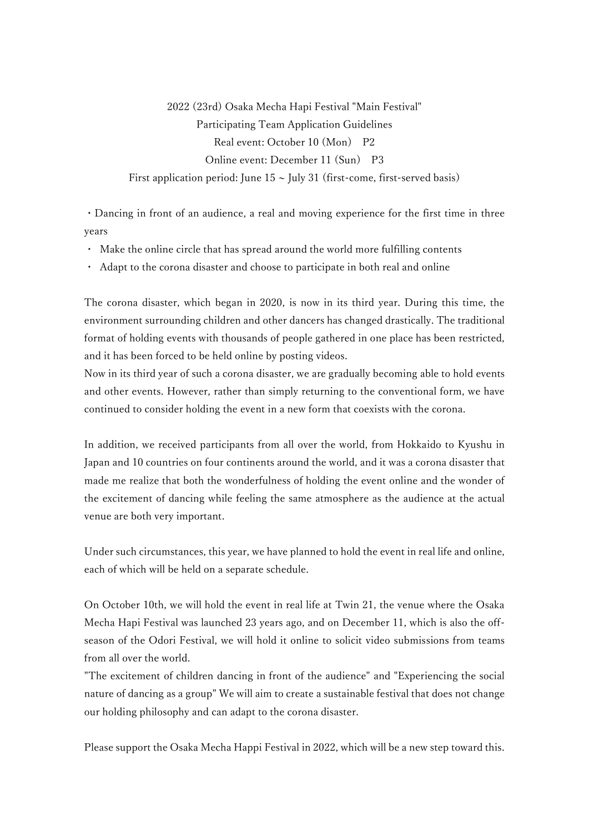2022 (23rd) Osaka Mecha Hapi Festival "Main Festival" Participating Team Application Guidelines Real event: October 10 (Mon) P2 Online event: December 11 (Sun) P3 First application period: June  $15 \sim$  July 31 (first-come, first-served basis)

・Dancing in front of an audience, a real and moving experience for the first time in three years

- ・ Make the online circle that has spread around the world more fulfilling contents
- Adapt to the corona disaster and choose to participate in both real and online

The corona disaster, which began in 2020, is now in its third year. During this time, the environment surrounding children and other dancers has changed drastically. The traditional format of holding events with thousands of people gathered in one place has been restricted, and it has been forced to be held online by posting videos.

Now in its third year of such a corona disaster, we are gradually becoming able to hold events and other events. However, rather than simply returning to the conventional form, we have continued to consider holding the event in a new form that coexists with the corona.

In addition, we received participants from all over the world, from Hokkaido to Kyushu in Japan and 10 countries on four continents around the world, and it was a corona disaster that made me realize that both the wonderfulness of holding the event online and the wonder of the excitement of dancing while feeling the same atmosphere as the audience at the actual venue are both very important.

Under such circumstances, this year, we have planned to hold the event in real life and online, each of which will be held on a separate schedule.

On October 10th, we will hold the event in real life at Twin 21, the venue where the Osaka Mecha Hapi Festival was launched 23 years ago, and on December 11, which is also the offseason of the Odori Festival, we will hold it online to solicit video submissions from teams from all over the world.

"The excitement of children dancing in front of the audience" and "Experiencing the social nature of dancing as a group" We will aim to create a sustainable festival that does not change our holding philosophy and can adapt to the corona disaster.

Please support the Osaka Mecha Happi Festival in 2022, which will be a new step toward this.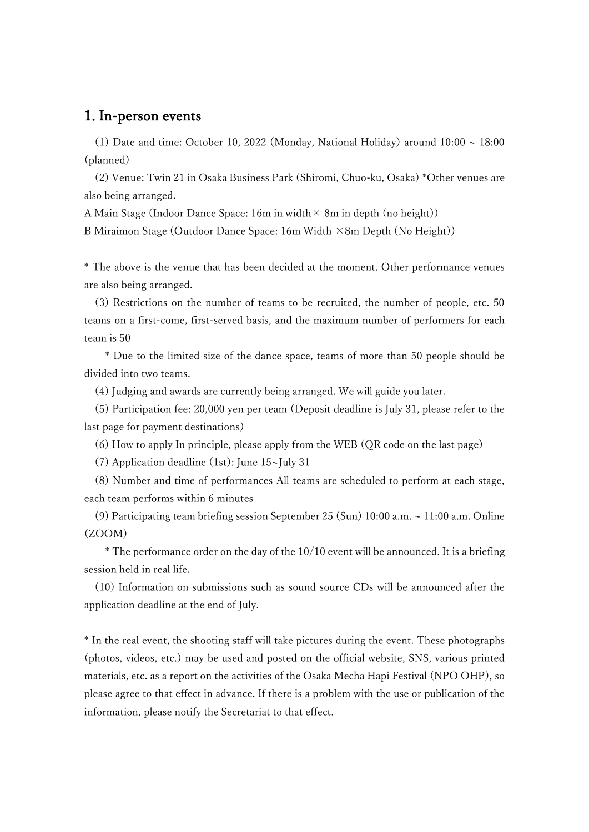## 1. In-person events

(1) Date and time: October 10, 2022 (Monday, National Holiday) around  $10:00 \sim 18:00$ (planned)

(2) Venue: Twin 21 in Osaka Business Park (Shiromi, Chuo-ku, Osaka) \*Other venues are also being arranged.

A Main Stage (Indoor Dance Space: 16m in width  $\times$  8m in depth (no height))

B Miraimon Stage (Outdoor Dance Space: 16m Width  $\times$ 8m Depth (No Height))

\* The above is the venue that has been decided at the moment. Other performance venues are also being arranged.

(3) Restrictions on the number of teams to be recruited, the number of people, etc. 50 teams on a first-come, first-served basis, and the maximum number of performers for each team is 50

 \* Due to the limited size of the dance space, teams of more than 50 people should be divided into two teams.

(4) Judging and awards are currently being arranged. We will guide you later.

(5) Participation fee: 20,000 yen per team (Deposit deadline is July 31, please refer to the last page for payment destinations)

(6) How to apply In principle, please apply from the WEB (QR code on the last page)

(7) Application deadline (1st): June 15~July 31

(8) Number and time of performances All teams are scheduled to perform at each stage, each team performs within 6 minutes

(9) Participating team briefing session September 25 (Sun) 10:00 a.m. ~ 11:00 a.m. Online (ZOOM)

 \* The performance order on the day of the 10/10 event will be announced. It is a briefing session held in real life.

(10) Information on submissions such as sound source CDs will be announced after the application deadline at the end of July.

\* In the real event, the shooting staff will take pictures during the event. These photographs (photos, videos, etc.) may be used and posted on the official website, SNS, various printed materials, etc. as a report on the activities of the Osaka Mecha Hapi Festival (NPO OHP), so please agree to that effect in advance. If there is a problem with the use or publication of the information, please notify the Secretariat to that effect.